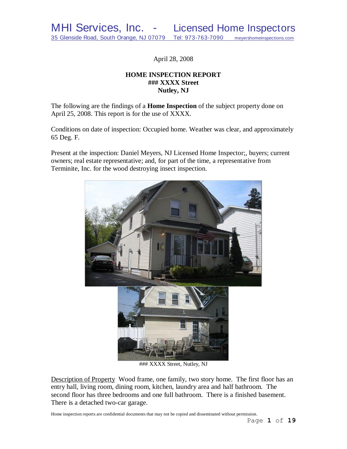April 28, 2008

# **HOME INSPECTION REPORT ### XXXX Street Nutley, NJ**

The following are the findings of a **Home Inspection** of the subject property done on April 25, 2008. This report is for the use of XXXX.

Conditions on date of inspection: Occupied home. Weather was clear, and approximately 65 Deg. F.

Present at the inspection: Daniel Meyers, NJ Licensed Home Inspector;, buyers; current owners; real estate representative; and, for part of the time, a representative from Terminite, Inc. for the wood destroying insect inspection.



### XXXX Street, Nutley, NJ

Description of Property Wood frame, one family, two story home. The first floor has an entry hall, living room, dining room, kitchen, laundry area and half bathroom. The second floor has three bedrooms and one full bathroom. There is a finished basement. There is a detached two-car garage.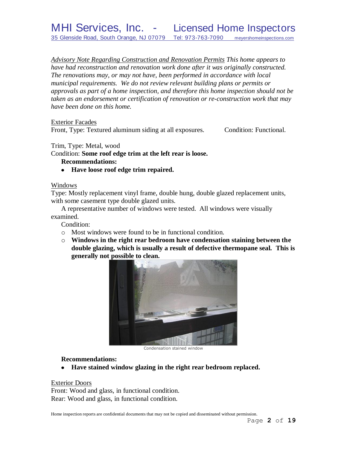*Advisory Note Regarding Construction and Renovation Permits This home appears to have had reconstruction and renovation work done after it was originally constructed. The renovations may, or may not have, been performed in accordance with local municipal requirements. We do not review relevant building plans or permits or approvals as part of a home inspection, and therefore this home inspection should not be taken as an endorsement or certification of renovation or re-construction work that may have been done on this home.*

Exterior Facades

Front, Type: Textured aluminum siding at all exposures. Condition: Functional.

Trim, Type: Metal, wood

Condition: **Some roof edge trim at the left rear is loose.**

# **Recommendations:**

**Have loose roof edge trim repaired.**

## Windows

Type: Mostly replacement vinyl frame, double hung, double glazed replacement units, with some casement type double glazed units.

A representative number of windows were tested. All windows were visually examined.

Condition:

- o Most windows were found to be in functional condition.
- o **Windows in the right rear bedroom have condensation staining between the double glazing, which is usually a result of defective thermopane seal. This is generally not possible to clean.**



Condensation stained window

## **Recommendations:**

**Have stained window glazing in the right rear bedroom replaced.**

Exterior Doors

Front: Wood and glass, in functional condition. Rear: Wood and glass, in functional condition.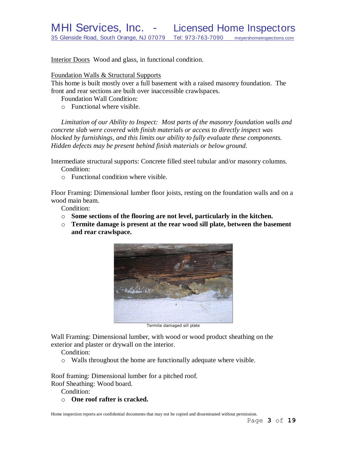Interior Doors Wood and glass, in functional condition.

## Foundation Walls & Structural Supports

This home is built mostly over a full basement with a raised masonry foundation. The front and rear sections are built over inaccessible crawlspaces.

Foundation Wall Condition:

o Functional where visible.

*Limitation of our Ability to Inspect: Most parts of the masonry foundation walls and concrete slab were covered with finish materials or access to directly inspect was blocked by furnishings, and this limits our ability to fully evaluate these components. Hidden defects may be present behind finish materials or below ground.*

Intermediate structural supports: Concrete filled steel tubular and/or masonry columns. Condition:

o Functional condition where visible.

Floor Framing: Dimensional lumber floor joists, resting on the foundation walls and on a wood main beam.

Condition:

- o **Some sections of the flooring are not level, particularly in the kitchen.**
- o **Termite damage is present at the rear wood sill plate, between the basement and rear crawlspace.**



Termite damaged sill plate

Wall Framing: Dimensional lumber, with wood or wood product sheathing on the exterior and plaster or drywall on the interior.

Condition:

o Walls throughout the home are functionally adequate where visible.

Roof framing: Dimensional lumber for a pitched roof.

Roof Sheathing: Wood board.

Condition:

o **One roof rafter is cracked.**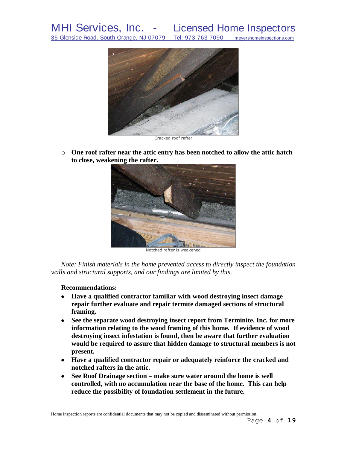

Cracked roof rafter

o **One roof rafter near the attic entry has been notched to allow the attic hatch to close, weakening the rafter.**



Notched rafter is weakened

*Note: Finish materials in the home prevented access to directly inspect the foundation walls and structural supports, and our findings are limited by this*.

### **Recommendations:**

- **Have a qualified contractor familiar with wood destroying insect damage repair further evaluate and repair termite damaged sections of structural framing.**
- **See the separate wood destroying insect report from Terminite, Inc. for more information relating to the wood framing of this home. If evidence of wood destroying insect infestation is found, then be aware that further evaluation would be required to assure that hidden damage to structural members is not present.**
- **Have a qualified contractor repair or adequately reinforce the cracked and notched rafters in the attic.**
- **See Roof Drainage section – make sure water around the home is well controlled, with no accumulation near the base of the home. This can help reduce the possibility of foundation settlement in the future.**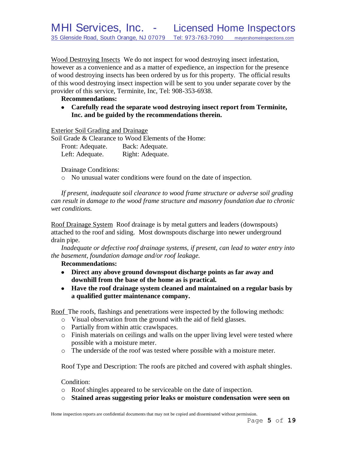Wood Destroying Insects We do not inspect for wood destroying insect infestation, however as a convenience and as a matter of expedience, an inspection for the presence of wood destroying insects has been ordered by us for this property. The official results of this wood destroying insect inspection will be sent to you under separate cover by the provider of this service, Terminite, Inc, Tel: 908-353-6938.

## **Recommendations:**

**Carefully read the separate wood destroying insect report from Terminite, Inc. and be guided by the recommendations therein.**

Exterior Soil Grading and Drainage

Soil Grade & Clearance to Wood Elements of the Home: Front: Adequate. Back: Adequate. Left: Adequate. Right: Adequate.

## Drainage Conditions:

o No unusual water conditions were found on the date of inspection.

*If present, inadequate soil clearance to wood frame structure or adverse soil grading can result in damage to the wood frame structure and masonry foundation due to chronic wet conditions.*

Roof Drainage System Roof drainage is by metal gutters and leaders (downspouts) attached to the roof and siding. Most downspouts discharge into newer underground drain pipe.

*Inadequate or defective roof drainage systems, if present, can lead to water entry into the basement, foundation damage and/or roof leakage.*

# **Recommendations:**

- **Direct any above ground downspout discharge points as far away and downhill from the base of the home as is practical.**
- **Have the roof drainage system cleaned and maintained on a regular basis by a qualified gutter maintenance company.**

Roof The roofs, flashings and penetrations were inspected by the following methods:

- o Visual observation from the ground with the aid of field glasses.
- o Partially from within attic crawlspaces.
- o Finish materials on ceilings and walls on the upper living level were tested where possible with a moisture meter.
- o The underside of the roof was tested where possible with a moisture meter.

Roof Type and Description: The roofs are pitched and covered with asphalt shingles.

# Condition:

- o Roof shingles appeared to be serviceable on the date of inspection.
- o **Stained areas suggesting prior leaks or moisture condensation were seen on**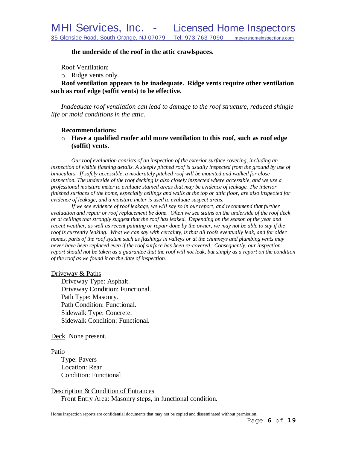### **the underside of the roof in the attic crawlspaces.**

Roof Ventilation:

o Ridge vents only.

## **Roof ventilation appears to be inadequate. Ridge vents require other ventilation such as roof edge (soffit vents) to be effective.**

*Inadequate roof ventilation can lead to damage to the roof structure, reduced shingle life or mold conditions in the attic.*

### **Recommendations:**

o **Have a qualified roofer add more ventilation to this roof, such as roof edge (soffit) vents.**

*Our roof evaluation consists of an inspection of the exterior surface covering, including an*  inspection of visible flashing details. A steeply pitched roof is usually inspected from the ground by use of *binoculars. If safely accessible, a moderately pitched roof will be mounted and walked for close inspection. The underside of the roof decking is also closely inspected where accessible, and we use a professional moisture meter to evaluate stained areas that may be evidence of leakage. The interior finished surfaces of the home, especially ceilings and walls at the top or attic floor, are also inspected for evidence of leakage, and a moisture meter is used to evaluate suspect areas.*

*If we see evidence of roof leakage, we will say so in our report, and recommend that further evaluation and repair or roof replacement be done. Often we see stains on the underside of the roof deck or at ceilings that strongly suggest that the roof has leaked. Depending on the season of the year and recent weather, as well as recent painting or repair done by the owner, we may not be able to say if the roof is currently leaking. What we can say with certainty, is that all roofs eventually leak, and for older homes, parts of the roof system such as flashings in valleys or at the chimneys and plumbing vents may never have been replaced even if the roof surface has been re-covered. Consequently, our inspection report should not be taken as a guarantee that the roof will not leak, but simply as a report on the condition of the roof as we found it on the date of inspection.*

### Driveway & Paths

Driveway Type: Asphalt. Driveway Condition: Functional. Path Type: Masonry. Path Condition: Functional. Sidewalk Type: Concrete. Sidewalk Condition: Functional.

Deck None present.

**Patio** 

Type: Pavers Location: Rear Condition: Functional

### Description & Condition of Entrances

Front Entry Area: Masonry steps, in functional condition.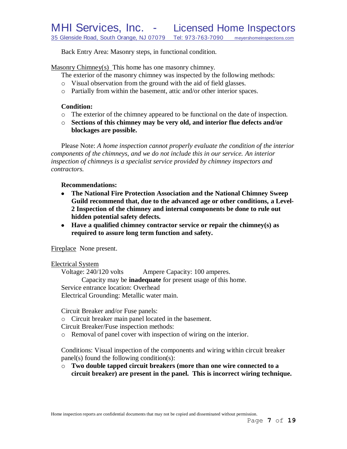Back Entry Area: Masonry steps, in functional condition.

Masonry Chimney(s) This home has one masonry chimney.

The exterior of the masonry chimney was inspected by the following methods:

- o Visual observation from the ground with the aid of field glasses.
- o Partially from within the basement, attic and/or other interior spaces.

## **Condition:**

- o The exterior of the chimney appeared to be functional on the date of inspection.
- o **Sections of this chimney may be very old, and interior flue defects and/or blockages are possible.**

Please Note: *A home inspection cannot properly evaluate the condition of the interior components of the chimneys, and we do not include this in our service. An interior inspection of chimneys is a specialist service provided by chimney inspectors and contractors.*

## **Recommendations:**

- **The National Fire Protection Association and the National Chimney Sweep**   $\bullet$ **Guild recommend that, due to the advanced age or other conditions, a Level-2 Inspection of the chimney and internal components be done to rule out hidden potential safety defects***.*
- **Have a qualified chimney contractor service or repair the chimney(s) as required to assure long term function and safety.**

Fireplace None present.

## Electrical System

Voltage: 240/120 volts Ampere Capacity: 100 amperes. Capacity may be **inadequate** for present usage of this home. Service entrance location: Overhead Electrical Grounding: Metallic water main.

Circuit Breaker and/or Fuse panels:

o Circuit breaker main panel located in the basement.

Circuit Breaker/Fuse inspection methods:

o Removal of panel cover with inspection of wiring on the interior.

Conditions: Visual inspection of the components and wiring within circuit breaker panel(s) found the following condition(s):

o **Two double tapped circuit breakers (more than one wire connected to a circuit breaker) are present in the panel. This is incorrect wiring technique.**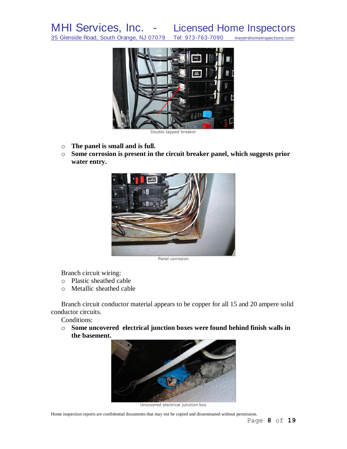MHI Services, Inc. - Licensed Home Inspectors

35 Glenside Road, South Orange, NJ 07079 Tel: 973-763-7090 meyershomeinspections.com



Double tapped breaker

- o **The panel is small and is full.**
- o **Some corrosion is present in the circuit breaker panel, which suggests prior water entry.**



Panel corrosion

Branch circuit wiring:

- o Plastic sheathed cable
- o Metallic sheathed cable

Branch circuit conductor material appears to be copper for all 15 and 20 ampere solid conductor circuits.

Conditions:

o **Some uncovered electrical junction boxes were found behind finish walls in the basement.**



Uncovered electrical junction box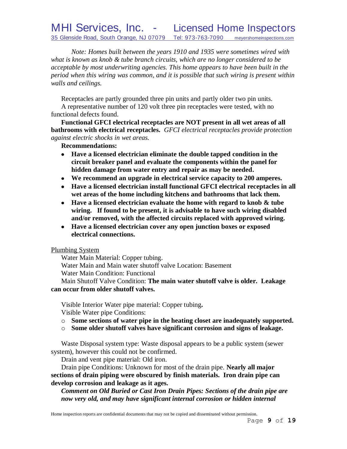# MHI Services, Inc. - Licensed Home Inspectors 35 Glenside Road, South Orange, NJ 07079 Tel: 973-763-7090 meyershomeinspections.com

*Note: Homes built between the years 1910 and 1935 were sometimes wired with what is known as knob & tube branch circuits, which are no longer considered to be acceptable by most underwriting agencies. This home appears to have been built in the period when this wiring was common, and it is possible that such wiring is present within walls and ceilings.*

Receptacles are partly grounded three pin units and partly older two pin units. A representative number of 120 volt three pin receptacles were tested, with no functional defects found.

**Functional GFCI electrical receptacles are NOT present in all wet areas of all bathrooms with electrical receptacles.** *GFCI electrical receptacles provide protection against electric shocks in wet areas.*

### **Recommendations:**

- **Have a licensed electrician eliminate the double tapped condition in the**   $\bullet$ **circuit breaker panel and evaluate the components within the panel for hidden damage from water entry and repair as may be needed.**
- **We recommend an upgrade in electrical service capacity to 200 amperes.**
- **Have a licensed electrician install functional GFCI electrical receptacles in all wet areas of the home including kitchens and bathrooms that lack them.**
- **Have a licensed electrician evaluate the home with regard to knob & tube wiring. If found to be present, it is advisable to have such wiring disabled and/or removed, with the affected circuits replaced with approved wiring.**
- **Have a licensed electrician cover any open junction boxes or exposed electrical connections.**

### Plumbing System

Water Main Material: Copper tubing.

Water Main and Main water shutoff valve Location: Basement

Water Main Condition: Functional

Main Shutoff Valve Condition: **The main water shutoff valve is older. Leakage can occur from older shutoff valves.**

Visible Interior Water pipe material: Copper tubing**.** Visible Water pipe Conditions:

- o **Some sections of water pipe in the heating closet are inadequately supported.**
- o **Some older shutoff valves have significant corrosion and signs of leakage.**

Waste Disposal system type: Waste disposal appears to be a public system (sewer system), however this could not be confirmed.

Drain and vent pipe material: Old iron.

Drain pipe Conditions: Unknown for most of the drain pipe. **Nearly all major sections of drain piping were obscured by finish materials. Iron drain pipe can develop corrosion and leakage as it ages.**

*Comment on Old Buried or Cast Iron Drain Pipes: Sections of the drain pipe are now very old, and may have significant internal corrosion or hidden internal*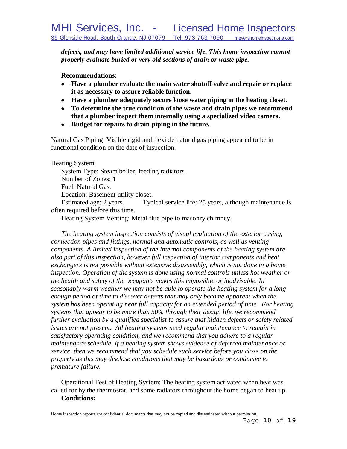*defects, and may have limited additional service life. This home inspection cannot properly evaluate buried or very old sections of drain or waste pipe.*

**Recommendations:**

- **Have a plumber evaluate the main water shutoff valve and repair or replace it as necessary to assure reliable function.**
- **Have a plumber adequately secure loose water piping in the heating closet.**
- **To determine the true condition of the waste and drain pipes we recommend that a plumber inspect them internally using a specialized video camera.**
- **Budget for repairs to drain piping in the future.**

Natural Gas Piping Visible rigid and flexible natural gas piping appeared to be in functional condition on the date of inspection.

Heating System

System Type: Steam boiler, feeding radiators.

Number of Zones: 1

Fuel: Natural Gas.

Location: Basement utility closet.

Estimated age: 2 years. Typical service life: 25 years, although maintenance is often required before this time.

Heating System Venting: Metal flue pipe to masonry chimney.

*The heating system inspection consists of visual evaluation of the exterior casing, connection pipes and fittings, normal and automatic controls, as well as venting components. A limited inspection of the internal components of the heating system are also part of this inspection, however full inspection of interior components and heat*  exchangers is not possible without extensive disassembly, which is not done in a home *inspection. Operation of the system is done using normal controls unless hot weather or the health and safety of the occupants makes this impossible or inadvisable. In seasonably warm weather we may not be able to operate the heating system for a long*  enough period of time to discover defects that may only become apparent when the *system has been operating near full capacity for an extended period of time. For heating systems that appear to be more than 50% through their design life, we recommend further evaluation by a qualified specialist to assure that hidden defects or safety related issues are not present. All heating systems need regular maintenance to remain in satisfactory operating condition, and we recommend that you adhere to a regular maintenance schedule. If a heating system shows evidence of deferred maintenance or service, then we recommend that you schedule such service before you close on the property as this may disclose conditions that may be hazardous or conducive to premature failure.*

Operational Test of Heating System: The heating system activated when heat was called for by the thermostat, and some radiators throughout the home began to heat up. **Conditions:**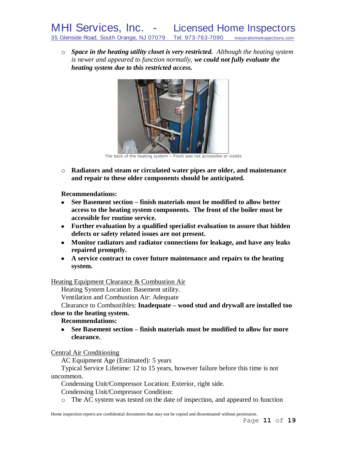o *Space in the heating utility closet is very restricted. Although the heating system is newer and appeared to function normally, we could not fully evaluate the heating system due to this restricted access.*



The back of the heating system – Front was not accessible or visible

o **Radiators and steam or circulated water pipes are older, and maintenance and repair to these older components should be anticipated.**

**Recommendations:**

- **See Basement section – finish materials must be modified to allow better access to the heating system components. The front of the boiler must be accessible for routine service.**
- **Further evaluation by a qualified specialist evaluation to assure that hidden defects or safety related issues are not present.**
- **Monitor radiators and radiator connections for leakage, and have any leaks repaired promptly.**
- **A service contract to cover future maintenance and repairs to the heating system.**

Heating Equipment Clearance & Combustion Air

Heating System Location: Basement utility.

Ventilation and Combustion Air: Adequate

Clearance to Combustibles: **Inadequate – wood stud and drywall are installed too close to the heating system.**

# **Recommendations:**

**See Basement section – finish materials must be modified to allow for more**   $\bullet$ **clearance.**

Central Air Conditioning

AC Equipment Age (Estimated): 5 years

Typical Service Lifetime: 12 to 15 years, however failure before this time is not uncommon.

Condensing Unit/Compressor Location: Exterior, right side.

Condensing Unit/Compressor Condition:

o The AC system was tested on the date of inspection, and appeared to function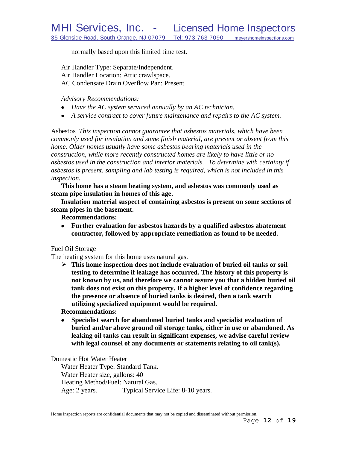normally based upon this limited time test.

Air Handler Type: Separate/Independent. Air Handler Location: Attic crawlspace. AC Condensate Drain Overflow Pan: Present

*Advisory Recommendations:* 

- *Have the AC system serviced annually by an AC technician.*
- *A service contract to cover future maintenance and repairs to the AC system.*

Asbestos *This inspection cannot guarantee that asbestos materials, which have been commonly used for insulation and some finish material, are present or absent from this home. Older homes usually have some asbestos bearing materials used in the construction, while more recently constructed homes are likely to have little or no asbestos used in the construction and interior materials. To determine with certainty if asbestos is present, sampling and lab testing is required, which is not included in this inspection.* 

**This home has a steam heating system, and asbestos was commonly used as steam pipe insulation in homes of this age.**

**Insulation material suspect of containing asbestos is present on some sections of steam pipes in the basement.**

**Recommendations:**

**Further evaluation for asbestos hazards by a qualified asbestos abatement contractor, followed by appropriate remediation as found to be needed.**

# Fuel Oil Storage

The heating system for this home uses natural gas.

 **This home inspection does not include evaluation of buried oil tanks or soil testing to determine if leakage has occurred. The history of this property is not known by us, and therefore we cannot assure you that a hidden buried oil tank does not exist on this property. If a higher level of confidence regarding the presence or absence of buried tanks is desired, then a tank search utilizing specialized equipment would be required.**

## **Recommendations:**

**Specialist search for abandoned buried tanks and specialist evaluation of**   $\bullet$ **buried and/or above ground oil storage tanks, either in use or abandoned. As leaking oil tanks can result in significant expenses, we advise careful review with legal counsel of any documents or statements relating to oil tank(s).** 

Domestic Hot Water Heater

Water Heater Type: Standard Tank. Water Heater size, gallons: 40 Heating Method/Fuel: Natural Gas. Age: 2 years. Typical Service Life: 8-10 years.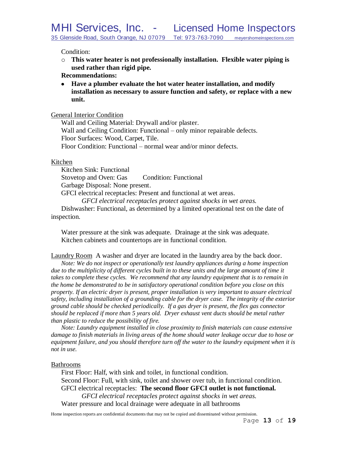Condition:

o **This water heater is not professionally installation. Flexible water piping is used rather than rigid pipe.** 

## **Recommendations:**

**Have a plumber evaluate the hot water heater installation, and modify installation as necessary to assure function and safety, or replace with a new unit.**

# General Interior Condition

Wall and Ceiling Material: Drywall and/or plaster. Wall and Ceiling Condition: Functional – only minor repairable defects. Floor Surfaces: Wood, Carpet, Tile. Floor Condition: Functional – normal wear and/or minor defects.

## Kitchen

Kitchen Sink: Functional Stovetop and Oven: Gas Condition: Functional Garbage Disposal: None present. GFCI electrical receptacles: Present and functional at wet areas. *GFCI electrical receptacles protect against shocks in wet areas.* Dishwasher: Functional, as determined by a limited operational test on the date of inspection.

Water pressure at the sink was adequate. Drainage at the sink was adequate. Kitchen cabinets and countertops are in functional condition.

Laundry Room A washer and dryer are located in the laundry area by the back door.

*Note: We do not inspect or operationally test laundry appliances during a home inspection due to the multiplicity of different cycles built in to these units and the large amount of time it*  takes to complete these cycles. We recommend that any laundry equipment that is to remain in *the home be demonstrated to be in satisfactory operational condition before you close on this property. If an electric dryer is present, proper installation is very important to assure electrical safety, including installation of a grounding cable for the dryer case. The integrity of the exterior ground cable should be checked periodically. If a gas dryer is present, the flex gas connector should be replaced if more than 5 years old. Dryer exhaust vent ducts should be metal rather than plastic to reduce the possibility of fire.*

*Note: Laundry equipment installed in close proximity to finish materials can cause extensive damage to finish materials in living areas of the home should water leakage occur due to hose or equipment failure, and you should therefore turn off the water to the laundry equipment when it is not in use.*

# Bathrooms

First Floor: Half, with sink and toilet, in functional condition. Second Floor: Full, with sink, toilet and shower over tub, in functional condition. GFCI electrical receptacles: **The second floor GFCI outlet is not functional.** *GFCI electrical receptacles protect against shocks in wet areas.* Water pressure and local drainage were adequate in all bathrooms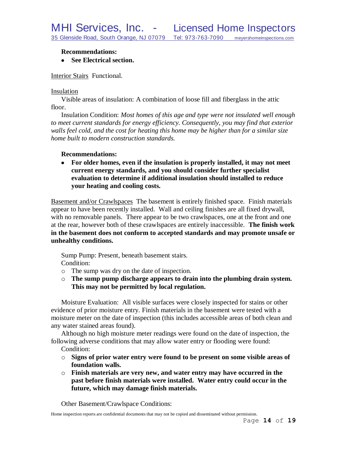### **Recommendations:**

### **See Electrical section.**

Interior Stairs Functional.

### Insulation

Visible areas of insulation: A combination of loose fill and fiberglass in the attic floor.

Insulation Condition: *Most homes of this age and type were not insulated well enough to meet current standards for energy efficiency. Consequently, you may find that exterior walls feel cold, and the cost for heating this home may be higher than for a similar size home built to modern construction standards.*

## **Recommendations:**

**For older homes, even if the insulation is properly installed, it may not meet current energy standards, and you should consider further specialist evaluation to determine if additional insulation should installed to reduce your heating and cooling costs.**

Basement and/or Crawlspaces The basement is entirely finished space. Finish materials appear to have been recently installed. Wall and ceiling finishes are all fixed drywall, with no removable panels. There appear to be two crawlspaces, one at the front and one at the rear, however both of these crawlspaces are entirely inaccessible. **The finish work in the basement does not conform to accepted standards and may promote unsafe or unhealthy conditions.**

Sump Pump: Present, beneath basement stairs. Condition:

- o The sump was dry on the date of inspection.
- o **The sump pump discharge appears to drain into the plumbing drain system. This may not be permitted by local regulation.**

Moisture Evaluation: All visible surfaces were closely inspected for stains or other evidence of prior moisture entry. Finish materials in the basement were tested with a moisture meter on the date of inspection (this includes accessible areas of both clean and any water stained areas found).

Although no high moisture meter readings were found on the date of inspection, the following adverse conditions that may allow water entry or flooding were found:

Condition:

- o **Signs of prior water entry were found to be present on some visible areas of foundation walls.**
- o **Finish materials are very new, and water entry may have occurred in the past before finish materials were installed. Water entry could occur in the future, which may damage finish materials.**

Other Basement/Crawlspace Conditions: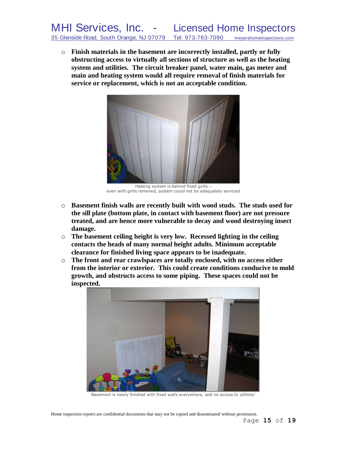o **Finish materials in the basement are incorrectly installed, partly or fully obstructing access to virtually all sections of structure as well as the heating system and utilities. The circuit breaker panel, water main, gas meter and main and heating system would all require removal of finish materials for service or replacement, which is not an acceptable condition.**



Heating system is behind fixed grills – even with grills removed, system could not be adequately serviced

- o **Basement finish walls are recently built with wood studs. The studs used for the sill plate (bottom plate, in contact with basement floor) are not pressure treated, and are hence more vulnerable to decay and wood destroying insect damage.**
- o **The basement ceiling height is very low. Recessed lighting in the ceiling contacts the heads of many normal height adults. Minimum acceptable clearance for finished living space appears to be inadequate.**
- o **The front and rear crawlspaces are totally enclosed, with no access either from the interior or exterior. This could create conditions conducive to mold growth, and obstructs access to some piping. These spaces could not be inspected.**



Basement is newly finished with fixed walls everywhere, and no access to utilities'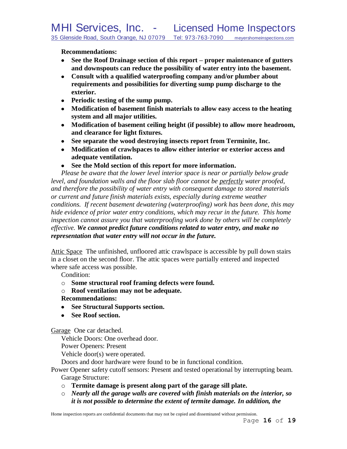**Recommendations:**

- **See the Roof Drainage section of this report – proper maintenance of gutters and downspouts can reduce the possibility of water entry into the basement.**
- **Consult with a qualified waterproofing company and/or plumber about requirements and possibilities for diverting sump pump discharge to the exterior.**
- **Periodic testing of the sump pump.**
- **Modification of basement finish materials to allow easy access to the heating system and all major utilities.**
- **Modification of basement ceiling height (if possible) to allow more headroom, and clearance for light fixtures.**
- **See separate the wood destroying insects report from Terminite, Inc.**
- **Modification of crawlspaces to allow either interior or exterior access and adequate ventilation.**
- **See the Mold section of this report for more information.**

*Please be aware that the lower level interior space is near or partially below grade level, and foundation walls and the floor slab floor cannot be perfectly water proofed, and therefore the possibility of water entry with consequent damage to stored materials or current and future finish materials exists, especially during extreme weather conditions. If recent basement dewatering (waterproofing) work has been done, this may hide evidence of prior water entry conditions, which may recur in the future. This home inspection cannot assure you that waterproofing work done by others will be completely effective. We cannot predict future conditions related to water entry, and make no representation that water entry will not occur in the future.*

Attic Space The unfinished, unfloored attic crawlspace is accessible by pull down stairs in a closet on the second floor. The attic spaces were partially entered and inspected where safe access was possible.

Condition:

- o **Some structural roof framing defects were found.**
- o **Roof ventilation may not be adequate.**

# **Recommendations:**

- **See Structural Supports section.**
- **See Roof section.**

Garage One car detached.

Vehicle Doors: One overhead door.

Power Openers: Present

Vehicle door(s) were operated.

Doors and door hardware were found to be in functional condition.

- Power Opener safety cutoff sensors: Present and tested operational by interrupting beam. Garage Structure:
	- o **Termite damage is present along part of the garage sill plate.**
	- o *Nearly all the garage walls are covered with finish materials on the interior, so it is not possible to determine the extent of termite damage. In addition, the*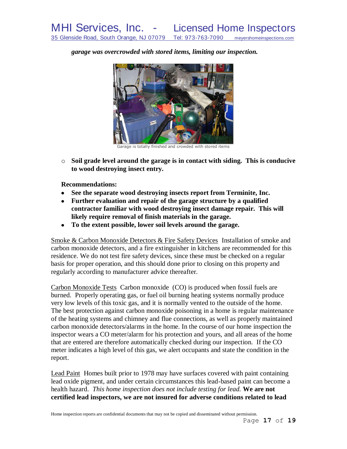*garage was overcrowded with stored items, limiting our inspection.*



Garage is totally finished and crowded with stored items

o **Soil grade level around the garage is in contact with siding. This is conducive to wood destroying insect entry.**

**Recommendations:**

- **See the separate wood destroying insects report from Terminite, Inc.**
- **Further evaluation and repair of the garage structure by a qualified contractor familiar with wood destroying insect damage repair. This will likely require removal of finish materials in the garage.**
- **To the extent possible, lower soil levels around the garage.**

Smoke & Carbon Monoxide Detectors & Fire Safety Devices Installation of smoke and carbon monoxide detectors, and a fire extinguisher in kitchens are recommended for this residence. We do not test fire safety devices, since these must be checked on a regular basis for proper operation, and this should done prior to closing on this property and regularly according to manufacturer advice thereafter.

Carbon Monoxide Tests Carbon monoxide (CO) is produced when fossil fuels are burned. Properly operating gas, or fuel oil burning heating systems normally produce very low levels of this toxic gas, and it is normally vented to the outside of the home. The best protection against carbon monoxide poisoning in a home is regular maintenance of the heating systems and chimney and flue connections, as well as properly maintained carbon monoxide detectors/alarms in the home. In the course of our home inspection the inspector wears a CO meter/alarm for his protection and yours, and all areas of the home that are entered are therefore automatically checked during our inspection. If the CO meter indicates a high level of this gas, we alert occupants and state the condition in the report.

Lead Paint Homes built prior to 1978 may have surfaces covered with paint containing lead oxide pigment, and under certain circumstances this lead-based paint can become a health hazard. *This home inspection does not include testing for lead.* **We are not certified lead inspectors, we are not insured for adverse conditions related to lead**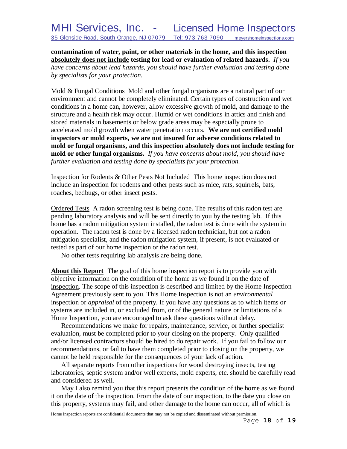**contamination of water, paint, or other materials in the home, and this inspection absolutely does not include testing for lead or evaluation of related hazards.** *If you have concerns about lead hazards, you should have further evaluation and testing done by specialists for your protection.*

Mold & Fungal Conditions Mold and other fungal organisms are a natural part of our environment and cannot be completely eliminated. Certain types of construction and wet conditions in a home can, however, allow excessive growth of mold, and damage to the structure and a health risk may occur. Humid or wet conditions in attics and finish and stored materials in basements or below grade areas may be especially prone to accelerated mold growth when water penetration occurs. **We are not certified mold inspectors or mold experts, we are not insured for adverse conditions related to mold or fungal organisms, and this inspection absolutely does not include testing for mold or other fungal organisms.** *If you have concerns about mold, you should have further evaluation and testing done by specialists for your protection.*

Inspection for Rodents & Other Pests Not Included This home inspection does not include an inspection for rodents and other pests such as mice, rats, squirrels, bats, roaches, bedbugs, or other insect pests.

Ordered Tests A radon screening test is being done. The results of this radon test are pending laboratory analysis and will be sent directly to you by the testing lab. If this home has a radon mitigation system installed, the radon test is done with the system in operation. The radon test is done by a licensed radon technician, but not a radon mitigation specialist, and the radon mitigation system, if present, is not evaluated or tested as part of our home inspection or the radon test.

No other tests requiring lab analysis are being done.

**About this Report** The goal of this home inspection report is to provide you with objective information on the condition of the home as we found it on the date of inspection. The scope of this inspection is described and limited by the Home Inspection Agreement previously sent to you. This Home Inspection is not an *environmental* inspection or *appraisal* of the property. If you have any questions as to which items or systems are included in, or excluded from, or of the general nature or limitations of a Home Inspection, you are encouraged to ask these questions without delay.

Recommendations we make for repairs, maintenance, service, or further specialist evaluation, must be completed prior to your closing on the property. Only qualified and/or licensed contractors should be hired to do repair work. If you fail to follow our recommendations, or fail to have them completed prior to closing on the property, we cannot be held responsible for the consequences of your lack of action.

All separate reports from other inspections for wood destroying insects, testing laboratories, septic system and/or well experts, mold experts, etc. should be carefully read and considered as well.

May I also remind you that this report presents the condition of the home as we found it on the date of the inspection. From the date of our inspection, to the date you close on this property, systems may fail, and other damage to the home can occur, all of which is